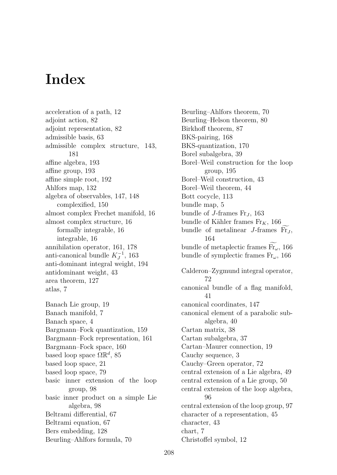## **Index**

acceleration of a path, 12 adjoint action, 82 adjoint representation, 82 admissible basis, 63 admissible complex structure, 143, 181 affine algebra, 193 affine group, 193 affine simple root, 192 Ahlfors map, 132 algebra of observables, 147, 148 complexified, 150 almost complex Frechet manifold, 16 almost complex structure, 16 formally integrable, 16 integrable, 16 annihilation operator, 161, 178 anti-canonical bundle  $K_J^{-1}$ , 163 anti-dominant integral weight, 194 antidominant weight, 43 area theorem, 127 atlas, 7 Banach Lie group, 19 Banach manifold, 7 Banach space, 4 Bargmann–Fock quantization, 159 Bargmann–Fock representation, 161 Bargmann–Fock space, 160 based loop space  $\Omega \mathbb{R}^d$ , 85 based loop space, 21 based loop space, 79 basic inner extension of the loop group, 98 basic inner product on a simple Lie algebra, 98 Beltrami differential, 67 Beltrami equation, 67 Bers embedding, 128 Beurling–Ahlfors formula, 70

Beurling–Ahlfors theorem, 70 Beurling–Helson theorem, 80 Birkhoff theorem, 87 BKS-pairing, 168 BKS-quantization, 170 Borel subalgebra, 39 Borel–Weil construction for the loop group, 195 Borel–Weil construction, 43 Borel–Weil theorem, 44 Bott cocycle, 113 bundle map, 5 bundle of *J*-frames  $\text{Fr}_J$ , 163 bundle of Kähler frames  $Fr_K$ , 166 bundle of metalinear  $J$ -frames  $Fr_J$ , 164 bundle of metaplectic frames Fr<sub>ω</sub>, 166 bundle of symplectic frames Fr*ω*, 166 Calderon–Zygmund integral operator, 72 canonical bundle of a flag manifold, 41 canonical coordinates, 147 canonical element of a parabolic subalgebra, 40 Cartan matrix, 38 Cartan subalgebra, 37 Cartan–Maurer connection, 19 Cauchy sequence, 3 Cauchy–Green operator, 72 central extension of a Lie algebra, 49 central extension of a Lie group, 50 central extension of the loop algebra, 96 central extension of the loop group, 97 character of a representation, 45 character, 43 chart, 7 Christoffel symbol, 12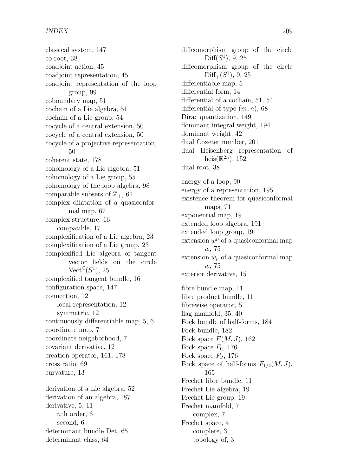classical system, 147 co-root, 38 coadjoint action, 45 coadjoint representation, 45 coadjoint representation of the loop group, 99 coboundary map, 51 cochain of a Lie algebra, 51 cochain of a Lie group, 54 cocycle of a central extension, 50 cocycle of a central extension, 50 cocycle of a projective representation, 50 coherent state, 178 cohomology of a Lie algebra, 51 cohomology of a Lie group, 55 cohomology of the loop algebra, 98 comparable subsets of  $\mathbb{Z}_+$ , 61 complex dilatation of a quasiconformal map, 67 complex structure, 16 compatible, 17 complexification of a Lie algebra, 23 complexification of a Lie group, 23 complexified Lie algebra of tangent vector fields on the circle  $\mathrm{Vect}^{\mathbb{C}}(S^1)$ , 25 complexified tangent bundle, 16 configuration space, 147 connection, 12 local representation, 12 symmetric, 12 continuously differentiable map, 5, 6 coordinate map, 7 coordinate neighborhood, 7 covariant derivative, 12 creation operator, 161, 178 cross ratio, 69 curvature, 13 derivation of a Lie algebra, 52 derivation of an algebra, 187 derivative, 5, 11 *n*th order, 6 second, 6 determinant bundle Det, 65 determinant class, 64

diffeomorphism group of the circle  $Diff(S<sup>1</sup>)$ , 9, 25 diffeomorphism group of the circle  $Diff<sub>+</sub>(S<sup>1</sup>), 9, 25$ differentiable map, 5 differential form, 14 differential of a cochain, 51, 54 differential of type (*m, n*), 68 Dirac quantization, 149 dominant integral weight, 194 dominant weight, 42 dual Coxeter number, 201 dual Heisenberg representation of heis( $\mathbb{R}^{2n}$ ), 152 dual root, 38 energy of a loop, 90 energy of a representation, 195 existence theorem for quasiconformal maps, 71 exponential map, 19 extended loop algebra, 191 extended loop group, 191 extension  $w^{\mu}$  of a quasiconformal map *w*, 75 extension  $w_\mu$  of a quasiconformal map *w*, 75 exterior derivative, 15 fibre bundle map, 11 fibre product bundle, 11 fibrewise operator, 5 flag manifold, 35, 40 Fock bundle of half-forms, 184 Fock bundle, 182 Fock space *F*(*M, J*), 162 Fock space  $F_0$ , 176 Fock space *F<sup>J</sup>* , 176 Fock space of half-forms  $F_{1/2}(M, J)$ , 165 Frechet fibre bundle, 11 Frechet Lie algebra, 19 Frechet Lie group, 19 Frechet manifold, 7 complex, 7 Frechet space, 4 complete, 3 topology of, 3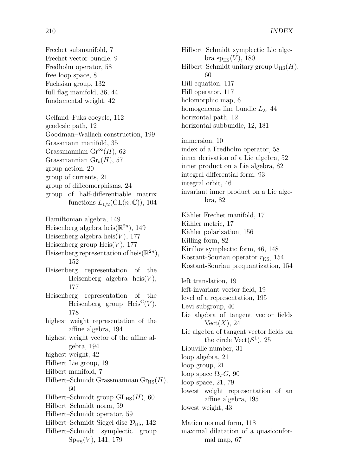Frechet submanifold, 7 Frechet vector bundle, 9 Fredholm operator, 58 free loop space, 8 Fuchsian group, 132 full flag manifold, 36, 44 fundamental weight, 42 Gelfand–Fuks cocycle, 112 geodesic path, 12 Goodman–Wallach construction, 199 Grassmann manifold, 35 Grassmannian Gr<sup>∞</sup>(*H*), 62 Grassmannian Gr*b*(*H*), 57 group action, 20 group of currents, 21

group of diffeomorphisms, 24 group of half-differentiable matrix functions  $L_{1/2}(\text{GL}(n,\mathbb{C}))$ , 104

Hamiltonian algebra, 149 Heisenberg algebra heis $(\mathbb{R}^{2n})$ , 149 Heisenberg algebra heis $(V)$ , 177 Heisenberg group  $Heis(V)$ , 177 Heisenberg representation of heis $(\mathbb{R}^{2n})$ , 152 Heisenberg representation of the Heisenberg algebra heis $(V)$ , 177 Heisenberg representation of the Heisenberg group  $\text{Heis}^{\mathbb{C}}(V)$ , 178 highest weight representation of the affine algebra, 194 highest weight vector of the affine algebra, 194 highest weight, 42 Hilbert Lie group, 19 Hilbert manifold, 7 Hilbert–Schmidt Grassmannian  $Gr_{HS}(H)$ , 60 Hilbert–Schmidt group  $GL_{HS}(H)$ , 60 Hilbert–Schmidt norm, 59 Hilbert–Schmidt operator, 59 Hilbert–Schmidt Siegel disc  $\mathcal{D}_{\text{HS}}$ , 142 Hilbert–Schmidt symplectic group  $Sp<sub>HS</sub>(V)$ , 141, 179

Hilbert–Schmidt symplectic Lie alge $bra{sp}_{HS}(V), 180$ Hilbert–Schmidt unitary group  $U_{\text{HS}}(H)$ , 60 Hill equation, 117 Hill operator, 117 holomorphic map, 6 homogeneous line bundle  $L_{\lambda}$ , 44 horizontal path, 12 horizontal subbundle, 12, 181 immersion, 10 index of a Fredholm operator, 58 inner derivation of a Lie algebra, 52 inner product on a Lie algebra, 82 integral differential form, 93 integral orbit, 46 invariant inner product on a Lie algebra, 82 Kähler Frechet manifold, 17 Kähler metric, 17 Kähler polarization, 156 Killing form, 82 Kirillov symplectic form, 46, 148 Kostant-Souriau operator  $r_{KS}$ , 154 Kostant-Souriau prequantization, 154 left translation, 19 left-invariant vector field, 19 level of a representation, 195 Levi subgroup, 40 Lie algebra of tangent vector fields  $Vect(X), 24$ Lie algebra of tangent vector fields on the circle  $Vect(S^1), 25$ Liouville number, 31 loop algebra, 21 loop group, 21 loop space  $\Omega_T G$ , 90 loop space, 21, 79 lowest weight representation of an affine algebra, 195 lowest weight, 43 Matieu normal form, 118 maximal dilatation of a quasiconfor-

mal map, 67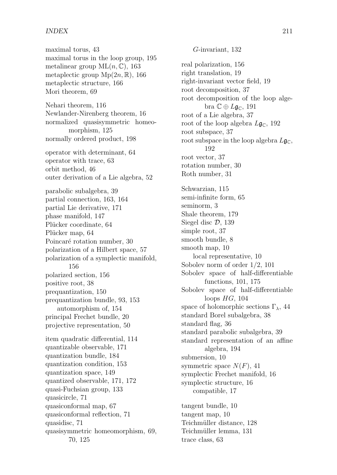maximal torus, 43 maximal torus in the loop group, 195 metalinear group ML(*n,* C), 163 metaplectic group  $Mp(2n, \mathbb{R})$ , 166 metaplectic structure, 166 Mori theorem, 69 Nehari theorem, 116 Newlander-Nirenberg theorem, 16 normalized quasisymmetric homeomorphism, 125 normally ordered product, 198 operator with determinant, 64 operator with trace, 63 orbit method, 46 outer derivation of a Lie algebra, 52 parabolic subalgebra, 39 partial connection, 163, 164 partial Lie derivative, 171 phase manifold, 147 Plücker coordinate, 64 Plücker map, 64 Poincaré rotation number, 30 polarization of a Hilbert space, 57 polarization of a symplectic manifold, 156 polarized section, 156 positive root, 38 prequantization, 150 prequantization bundle, 93, 153 automorphism of, 154 principal Frechet bundle, 20 projective representation, 50 item quadratic differential, 114 quantizable observable, 171 quantization bundle, 184 quantization condition, 153 quantization space, 149 quantized observable, 171, 172 quasi-Fuchsian group, 133 quasicircle, 71 quasiconformal map, 67 quasiconformal reflection, 71 quasidisc, 71 quasisymmetric homeomorphism, 69, 70, 125

real polarization, 156 right translation, 19 right-invariant vector field, 19 root decomposition, 37 root decomposition of the loop algebra  $\mathbb{C} \oplus L\mathfrak{g}_{\mathbb{C}}, 191$ root of a Lie algebra, 37 root of the loop algebra  $L\mathfrak{g}_{\mathbb{C}}$ , 192 root subspace, 37 root subspace in the loop algebra  $L\mathfrak{g}_{\mathbb{C}}$ , 192 root vector, 37 rotation number, 30 Roth number, 31 Schwarzian, 115 semi-infinite form, 65 seminorm, 3 Shale theorem, 179 Siegel disc *D*, 139 simple root, 37 smooth bundle, 8 smooth map, 10 local representative, 10 Sobolev norm of order 1*/*2, 101 Sobolev space of half-differentiable functions, 101, 175 Sobolev space of half-differentiable loops *HG*, 104 space of holomorphic sections Γ*λ*, 44 standard Borel subalgebra, 38 standard flag, 36 standard parabolic subalgebra, 39 standard representation of an affine algebra, 194 submersion, 10 symmetric space  $N(F)$ , 41 symplectic Frechet manifold, 16 symplectic structure, 16 compatible, 17 tangent bundle, 10 tangent map, 10 Teichmüller distance, 128 Teichmüller lemma, 131 trace class, 63

*G*-invariant, 132